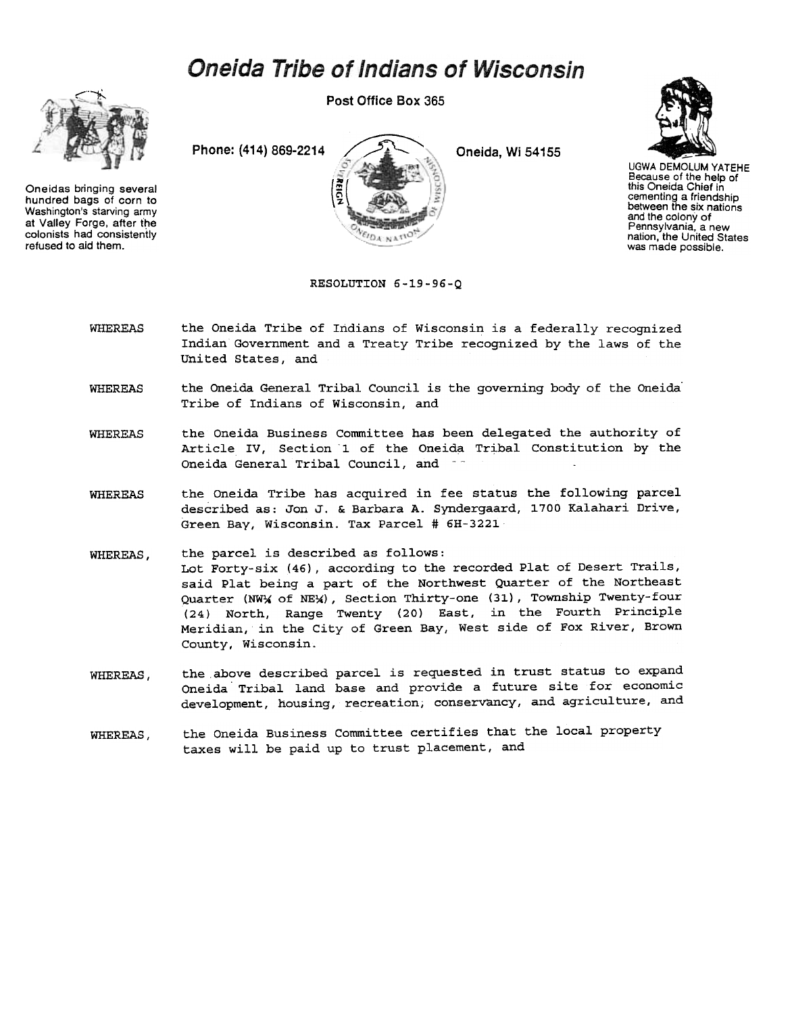## **Oneida Tribe of Indians of Wisconsin**



Oneidas bringing several hundred bags of corn to Washington's starving army at Valley Forge. after the colonists had consistently refused to aid them.

Post Office Box 365





UGWA DEMOLUM YATEHE Because of the help of this Oneida Chief in cementing a friendsh between the six nation and the colony of Pennsylvania, a new nation, the United States was made possible.

RESOLUTION 6-19-96-Q

- WHEREAS the Oneida Tribe of Indians of Wisconsin is a federally recognized Indian Government and a Treaty Tribe recognized by the laws of the United States, and
- the Oneida General Tribal Council is the governing body of the Oneida-Tribe of Indians of Wisconsin, and WHEREAS
- the Oneida Business Committee has been delegated the authority of Article IV, Section 1 of the Oneida Tribal Constitution by the Oneida General Tribal Council, and  $-$ WHEREAS
- the Oneida Tribe has acquired in fee status the following parcel described as: Jon J. & Barbara A. Syndergaard, 1700 Kalahari Drive, Green Bay, Wisconsin. Tax Parcel # 6H-3221 WHEREAS
- WHEREAS, the parcel is described as follows: Lot Forty-six (46), according to the recorded Plat of Desert Trails, said Plat being a part of the Northwest Quarter of the Northeast Quarter (NWX of NEX), Section Thirty-one (31), Township Twenty-four (24) North, Range Twenty (20) East, in the Fourth Principle Meridian, in the City of Green Bay, West side of Fox River, Brown County, Wisconsin.
- the above described parcel is requested in trust status to expand Oneida. Tribal land base and provide a future site for economic development, housing, recreation; conservancy, and agriculture, and WHEREAS,
- the Oneida Business Committee certifies that the local property taxes will be paid up to trust placement, and WHEREAS,